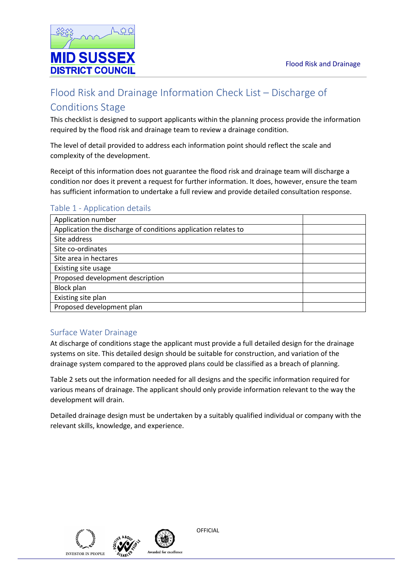

# Flood Risk and Drainage Information Check List – Discharge of Conditions Stage

This checklist is designed to support applicants within the planning process provide the information required by the flood risk and drainage team to review a drainage condition.

The level of detail provided to address each information point should reflect the scale and complexity of the development.

Receipt of this information does not guarantee the flood risk and drainage team will discharge a condition nor does it prevent a request for further information. It does, however, ensure the team has sufficient information to undertake a full review and provide detailed consultation response.

## Table 1 - Application details

| Application number                                             |  |
|----------------------------------------------------------------|--|
| Application the discharge of conditions application relates to |  |
| Site address                                                   |  |
| Site co-ordinates                                              |  |
| Site area in hectares                                          |  |
| Existing site usage                                            |  |
| Proposed development description                               |  |
| <b>Block plan</b>                                              |  |
| Existing site plan                                             |  |
| Proposed development plan                                      |  |

## Surface Water Drainage

At discharge of conditions stage the applicant must provide a full detailed design for the drainage systems on site. This detailed design should be suitable for construction, and variation of the drainage system compared to the approved plans could be classified as a breach of planning.

Table 2 sets out the information needed for all designs and the specific information required for various means of drainage. The applicant should only provide information relevant to the way the development will drain.

Detailed drainage design must be undertaken by a suitably qualified individual or company with the relevant skills, knowledge, and experience.





**OFFICIAL**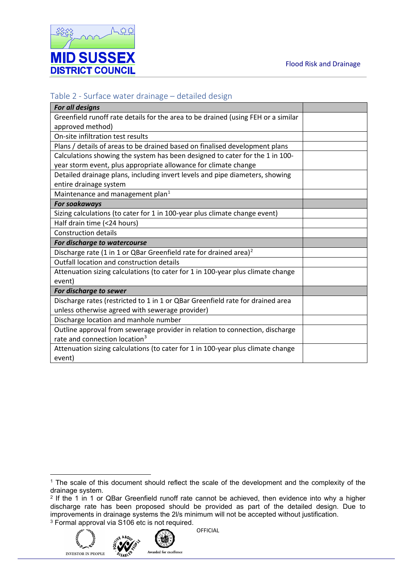

## Table 2 - Surface water drainage – detailed design

| For all designs                                                                   |  |
|-----------------------------------------------------------------------------------|--|
| Greenfield runoff rate details for the area to be drained (using FEH or a similar |  |
| approved method)                                                                  |  |
| On-site infiltration test results                                                 |  |
| Plans / details of areas to be drained based on finalised development plans       |  |
| Calculations showing the system has been designed to cater for the 1 in 100-      |  |
| year storm event, plus appropriate allowance for climate change                   |  |
| Detailed drainage plans, including invert levels and pipe diameters, showing      |  |
| entire drainage system                                                            |  |
| Maintenance and management plan <sup>1</sup>                                      |  |
| <b>For soakaways</b>                                                              |  |
| Sizing calculations (to cater for 1 in 100-year plus climate change event)        |  |
| Half drain time (<24 hours)                                                       |  |
| <b>Construction details</b>                                                       |  |
| For discharge to watercourse                                                      |  |
| Discharge rate (1 in 1 or QBar Greenfield rate for drained area) <sup>2</sup>     |  |
| Outfall location and construction details                                         |  |
| Attenuation sizing calculations (to cater for 1 in 100-year plus climate change   |  |
| event)                                                                            |  |
| For discharge to sewer                                                            |  |
| Discharge rates (restricted to 1 in 1 or QBar Greenfield rate for drained area    |  |
| unless otherwise agreed with sewerage provider)                                   |  |
| Discharge location and manhole number                                             |  |
| Outline approval from sewerage provider in relation to connection, discharge      |  |
| rate and connection location <sup>3</sup>                                         |  |
| Attenuation sizing calculations (to cater for 1 in 100-year plus climate change   |  |
| event)                                                                            |  |

<span id="page-1-2"></span><span id="page-1-1"></span><sup>&</sup>lt;sup>2</sup> If the 1 in 1 or QBar Greenfield runoff rate cannot be achieved, then evidence into why a higher discharge rate has been proposed should be provided as part of the detailed design. Due to improvements in drainage systems the 2l/s minimum will not be accepted without justification. <sup>3</sup> Formal approval via S106 etc is not required.





Awarded for excellence

<span id="page-1-0"></span><sup>&</sup>lt;sup>1</sup> The scale of this document should reflect the scale of the development and the complexity of the drainage system.